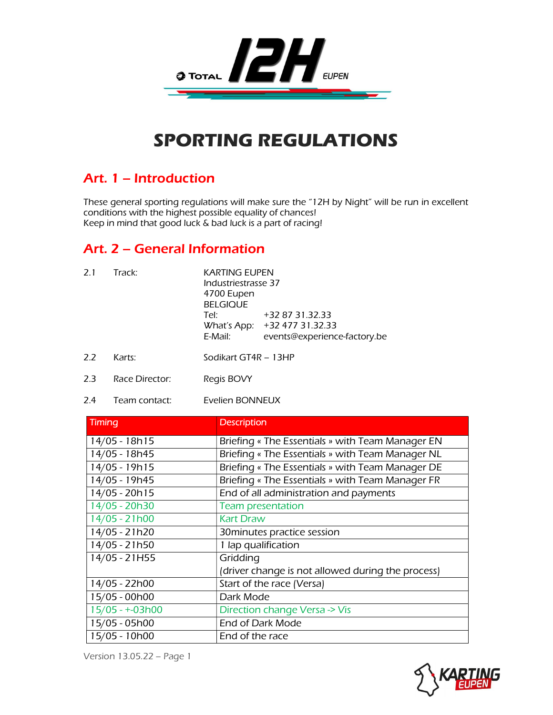

# SPORTING REGULATIONS

## Art. 1 – Introduction

These general sporting regulations will make sure the "12H by Night" will be run in excellent conditions with the highest possible equality of chances! Keep in mind that good luck & bad luck is a part of racing!

## Art. 2 – General Information

| 2.1 | Track: | <b>KARTING EUPEN</b><br>Industriestrasse 37<br>4700 Eupen<br><b>BELGIQUE</b> |                                                                                 |
|-----|--------|------------------------------------------------------------------------------|---------------------------------------------------------------------------------|
|     |        | Tel:<br>E-Mail:                                                              | +32 87 31.32.33<br>What's App: +32 477 31.32.33<br>events@experience-factory.be |
|     |        |                                                                              |                                                                                 |

- 2.2 Karts: Sodikart GT4R 13HP
- 2.3 Race Director: Regis BOVY
- 2.4 Team contact: Evelien BONNEUX

| <b>Timing</b>   | <b>Description</b>                                |
|-----------------|---------------------------------------------------|
| 14/05 - 18h15   | Briefing « The Essentials » with Team Manager EN  |
| 14/05 - 18h45   | Briefing « The Essentials » with Team Manager NL  |
| 14/05 - 19h15   | Briefing « The Essentials » with Team Manager DE  |
| 14/05 - 19h45   | Briefing « The Essentials » with Team Manager FR  |
| 14/05 - 20h15   | End of all administration and payments            |
| 14/05 - 20h30   | <b>Team presentation</b>                          |
| 14/05 - 21h00   | <b>Kart Draw</b>                                  |
| 14/05 - 21h20   | 30 minutes practice session                       |
| 14/05 - 21h50   | 1 lap qualification                               |
| 14/05 - 21H55   | Gridding                                          |
|                 | (driver change is not allowed during the process) |
| 14/05 - 22h00   | Start of the race (Versa)                         |
| 15/05 - 00h00   | Dark Mode                                         |
| 15/05 - +-03h00 | Direction change Versa -> Vis                     |
| 15/05 - 05h00   | End of Dark Mode                                  |
| 15/05 - 10h00   | End of the race                                   |

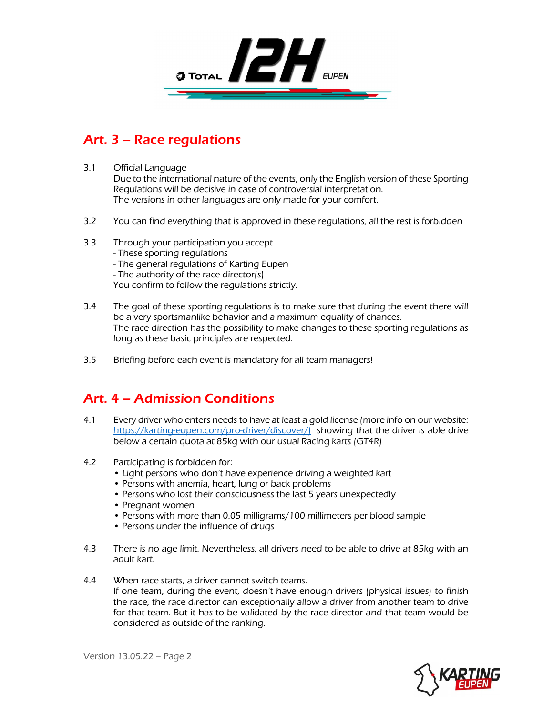

# Art. 3 – Race regulations

3.1 Official Language

Due to the international nature of the events, only the English version of these Sporting Regulations will be decisive in case of controversial interpretation. The versions in other languages are only made for your comfort.

- 3.2 You can find everything that is approved in these regulations, all the rest is forbidden
- 3.3 Through your participation you accept - These sporting regulations - The general regulations of Karting Eupen - The authority of the race director(s) You confirm to follow the regulations strictly.
- 3.4 The goal of these sporting regulations is to make sure that during the event there will be a very sportsmanlike behavior and a maximum equality of chances. The race direction has the possibility to make changes to these sporting regulations as long as these basic principles are respected.
- 3.5 Briefing before each event is mandatory for all team managers!

# Art. 4 – Admission Conditions

- 4.1 Every driver who enters needs to have at least a gold license (more info on our website: https://karting-eupen.com/pro-driver/discover/) showing that the driver is able drive below a certain quota at 85kg with our usual Racing karts (GT4R)
- 4.2 Participating is forbidden for:
	- Light persons who don't have experience driving a weighted kart
	- Persons with anemia, heart, lung or back problems
	- Persons who lost their consciousness the last 5 years unexpectedly
	- Pregnant women
	- Persons with more than 0.05 milligrams/100 millimeters per blood sample
	- Persons under the influence of drugs
- 4.3 There is no age limit. Nevertheless, all drivers need to be able to drive at 85kg with an adult kart.
- 4.4 When race starts, a driver cannot switch teams. If one team, during the event, doesn't have enough drivers (physical issues) to finish the race, the race director can exceptionally allow a driver from another team to drive for that team. But it has to be validated by the race director and that team would be considered as outside of the ranking.

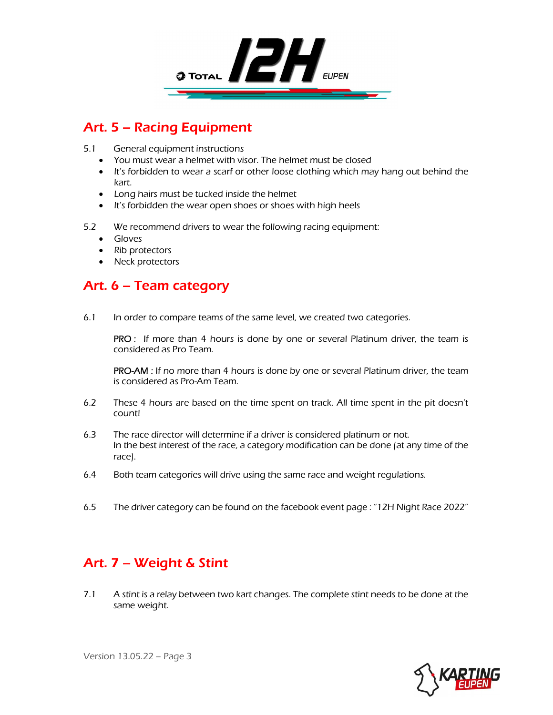

# Art. 5 – Racing Equipment

- 5.1 General equipment instructions
	- You must wear a helmet with visor. The helmet must be closed
	- It's forbidden to wear a scarf or other loose clothing which may hang out behind the kart.
	- Long hairs must be tucked inside the helmet
	- It's forbidden the wear open shoes or shoes with high heels
- 5.2 We recommend drivers to wear the following racing equipment:
	- **•** Gloves
	- Rib protectors
	- Neck protectors

#### Art. 6 – Team category

6.1 In order to compare teams of the same level, we created two categories.

PRO : If more than 4 hours is done by one or several Platinum driver, the team is considered as Pro Team.

PRO-AM : If no more than 4 hours is done by one or several Platinum driver, the team is considered as Pro-Am Team.

- 6.2 These 4 hours are based on the time spent on track. All time spent in the pit doesn't count!
- 6.3 The race director will determine if a driver is considered platinum or not. In the best interest of the race, a category modification can be done (at any time of the race).
- 6.4 Both team categories will drive using the same race and weight regulations.
- 6.5 The driver category can be found on the facebook event page : "12H Night Race 2022"

# Art. 7 – Weight & Stint

7.1 A stint is a relay between two kart changes. The complete stint needs to be done at the same weight.

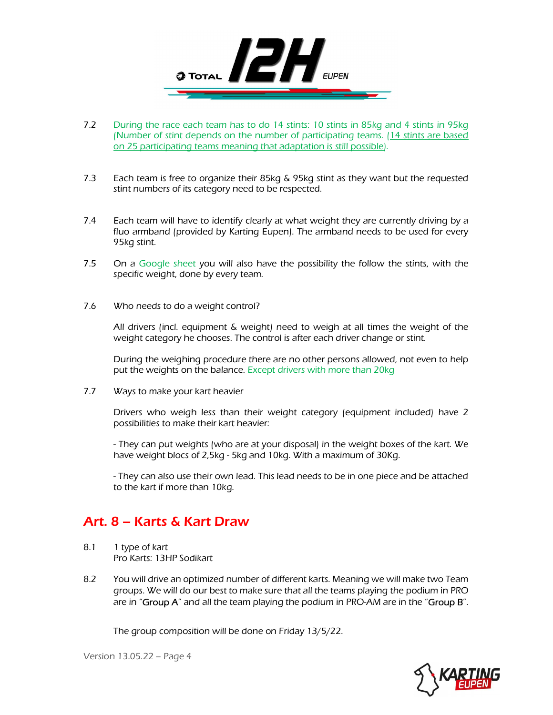

- 7.2 During the race each team has to do 14 stints: 10 stints in 85kg and 4 stints in 95kg (Number of stint depends on the number of participating teams. (14 stints are based on 25 participating teams meaning that adaptation is still possible).
- 7.3 Each team is free to organize their 85kg & 95kg stint as they want but the requested stint numbers of its category need to be respected.
- 7.4 Each team will have to identify clearly at what weight they are currently driving by a fluo armband (provided by Karting Eupen). The armband needs to be used for every 95kg stint.
- 7.5 On a Google sheet you will also have the possibility the follow the stints, with the specific weight, done by every team.
- 7.6 Who needs to do a weight control?

All drivers (incl. equipment & weight) need to weigh at all times the weight of the weight category he chooses. The control is after each driver change or stint.

During the weighing procedure there are no other persons allowed, not even to help put the weights on the balance. Except drivers with more than 20kg

7.7 Ways to make your kart heavier

Drivers who weigh less than their weight category (equipment included) have 2 possibilities to make their kart heavier:

- They can put weights (who are at your disposal) in the weight boxes of the kart. We have weight blocs of 2,5kg - 5kg and 10kg. With a maximum of 30Kg.

- They can also use their own lead. This lead needs to be in one piece and be attached to the kart if more than 10kg.

### Art. 8 – Karts & Kart Draw

- 8.1 1 type of kart Pro Karts: 13HP Sodikart
- 8.2 You will drive an optimized number of different karts. Meaning we will make two Team groups. We will do our best to make sure that all the teams playing the podium in PRO are in "Group  $A$ " and all the team playing the podium in PRO-AM are in the "Group  $B$ ".

The group composition will be done on Friday 13/5/22.

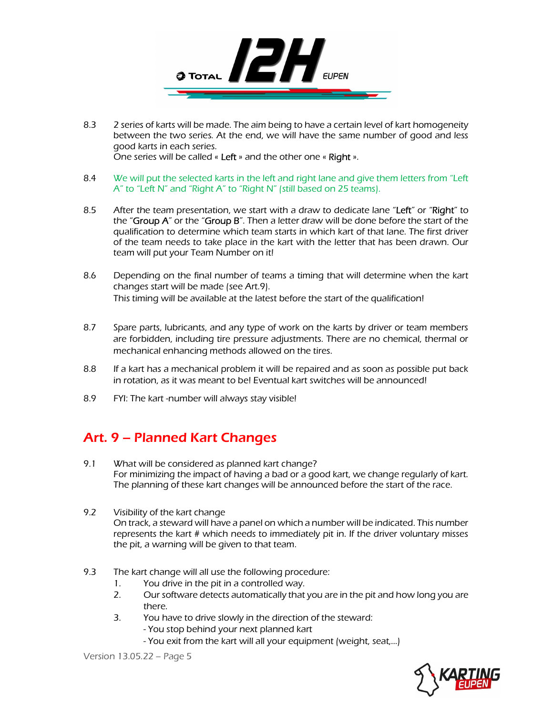

- 8.3 2 series of karts will be made. The aim being to have a certain level of kart homogeneity between the two series. At the end, we will have the same number of good and less good karts in each series. One series will be called « Left » and the other one « Right ».
- 8.4 We will put the selected karts in the left and right lane and give them letters from "Left" A" to "Left N" and "Right A" to "Right N" (still based on 25 teams).
- 8.5 After the team presentation, we start with a draw to dedicate lane "Left" or "Right" to the "Group  $A$ " or the "Group  $B$ ". Then a letter draw will be done before the start of the qualification to determine which team starts in which kart of that lane. The first driver of the team needs to take place in the kart with the letter that has been drawn. Our team will put your Team Number on it!
- 8.6 Depending on the final number of teams a timing that will determine when the kart changes start will be made (see Art.9). This timing will be available at the latest before the start of the qualification!
- 8.7 Spare parts, lubricants, and any type of work on the karts by driver or team members are forbidden, including tire pressure adjustments. There are no chemical, thermal or mechanical enhancing methods allowed on the tires.
- 8.8 If a kart has a mechanical problem it will be repaired and as soon as possible put back in rotation, as it was meant to be! Eventual kart switches will be announced!
- 8.9 FYI: The kart -number will always stay visible!

# Art. 9 – Planned Kart Changes

- 9.1 What will be considered as planned kart change? For minimizing the impact of having a bad or a good kart, we change regularly of kart. The planning of these kart changes will be announced before the start of the race.
- 9.2 Visibility of the kart change On track, a steward will have a panel on which a number will be indicated. This number represents the kart # which needs to immediately pit in. If the driver voluntary misses the pit, a warning will be given to that team.
- 9.3 The kart change will all use the following procedure:
	- 1. You drive in the pit in a controlled way.
	- 2. Our software detects automatically that you are in the pit and how long you are there.
	- 3. You have to drive slowly in the direction of the steward:
		- You stop behind your next planned kart
		- You exit from the kart will all your equipment (weight, seat,…)

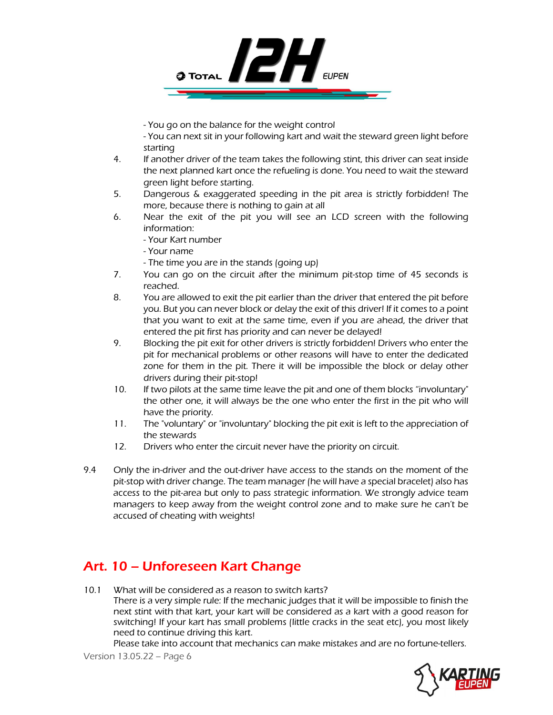

- You go on the balance for the weight control

- You can next sit in your following kart and wait the steward green light before starting

- 4. If another driver of the team takes the following stint, this driver can seat inside the next planned kart once the refueling is done. You need to wait the steward green light before starting.
- 5. Dangerous & exaggerated speeding in the pit area is strictly forbidden! The more, because there is nothing to gain at all
- 6. Near the exit of the pit you will see an LCD screen with the following information:
	- Your Kart number
	- Your name
	- The time you are in the stands (going up)
- 7. You can go on the circuit after the minimum pit-stop time of 45 seconds is reached.
- 8. You are allowed to exit the pit earlier than the driver that entered the pit before you. But you can never block or delay the exit of this driver! If it comes to a point that you want to exit at the same time, even if you are ahead, the driver that entered the pit first has priority and can never be delayed!
- 9. Blocking the pit exit for other drivers is strictly forbidden! Drivers who enter the pit for mechanical problems or other reasons will have to enter the dedicated zone for them in the pit. There it will be impossible the block or delay other drivers during their pit-stop!
- 10. If two pilots at the same time leave the pit and one of them blocks "involuntary" the other one, it will always be the one who enter the first in the pit who will have the priority.
- 11. The "voluntary" or "involuntary" blocking the pit exit is left to the appreciation of the stewards
- 12. Drivers who enter the circuit never have the priority on circuit.
- 9.4 Only the in-driver and the out-driver have access to the stands on the moment of the pit-stop with driver change. The team manager (he will have a special bracelet) also has access to the pit-area but only to pass strategic information. We strongly advice team managers to keep away from the weight control zone and to make sure he can't be accused of cheating with weights!

# Art. 10 – Unforeseen Kart Change

10.1 What will be considered as a reason to switch karts? There is a very simple rule: If the mechanic judges that it will be impossible to finish the next stint with that kart, your kart will be considered as a kart with a good reason for switching! If your kart has small problems (little cracks in the seat etc), you most likely need to continue driving this kart.

Please take into account that mechanics can make mistakes and are no fortune-tellers.

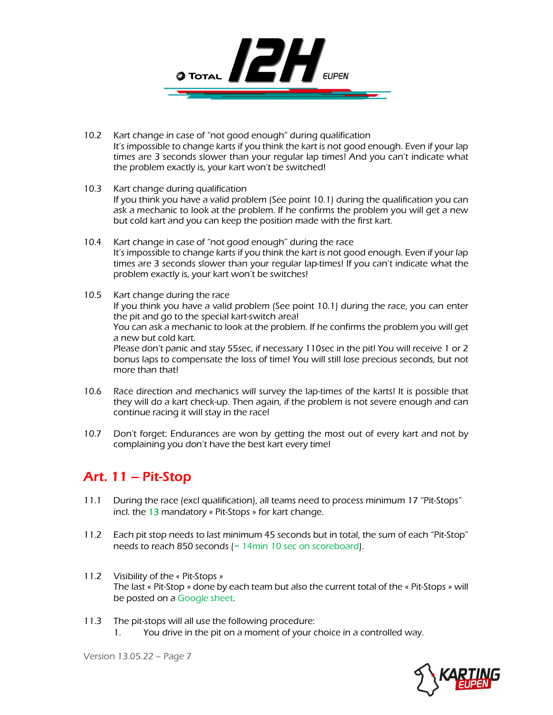

- 10.2 Kart change in case of "not good enough" during qualification It's impossible to change karts if you think the kart is not good enough. Even if your lap times are 3 seconds slower than your regular lap times! And you can't indicate what the problem exactly is, your kart won't be switched!
- 10.3 Kart change during qualification If you think you have a valid problem (See point 10.1) during the qualification you can ask a mechanic to look at the problem. If he confirms the problem you will get a new but cold kart and you can keep the position made with the first kart.
- 10.4 Kart change in case of "not good enough" during the race It's impossible to change karts if you think the kart is not good enough. Even if your lap times are 3 seconds slower than your regular lap-times! If you can't indicate what the problem exactly is, your kart won't be switches!
- 10.5 Kart change during the race If you think you have a valid problem (See point 10.1) during the race, you can enter the pit and go to the special kart-switch area! You can ask a mechanic to look at the problem. If he confirms the problem you will get a new but cold kart. Please don't panic and stay 55sec, if necessary 110sec in the pit! You will receive 1 or 2 bonus laps to compensate the loss of time! You will still lose precious seconds, but not more than that!
- 10.6 Race direction and mechanics will survey the lap-times of the karts! It is possible that they will do a kart check-up. Then again, if the problem is not severe enough and can continue racing it will stay in the race!
- 10.7 Don't forget: Endurances are won by getting the most out of every kart and not by complaining you don't have the best kart every time!

### Art. 11 – Pit-Stop

- 11.1 During the race (excl qualification), all teams need to process minimum 17 "Pit-Stops" incl. the 13 mandatory « Pit-Stops » for kart change.
- 11.2 Each pit stop needs to last minimum 45 seconds but in total, the sum of each "Pit-Stop" needs to reach 850 seconds (= 14min 10 sec on scoreboard).
- 11.2 Visibility of the « Pit-Stops » The last « Pit-Stop » done by each team but also the current total of the « Pit-Stops » will be posted on a Google sheet.
- 11.3 The pit-stops will all use the following procedure:
	- 1. You drive in the pit on a moment of your choice in a controlled way.

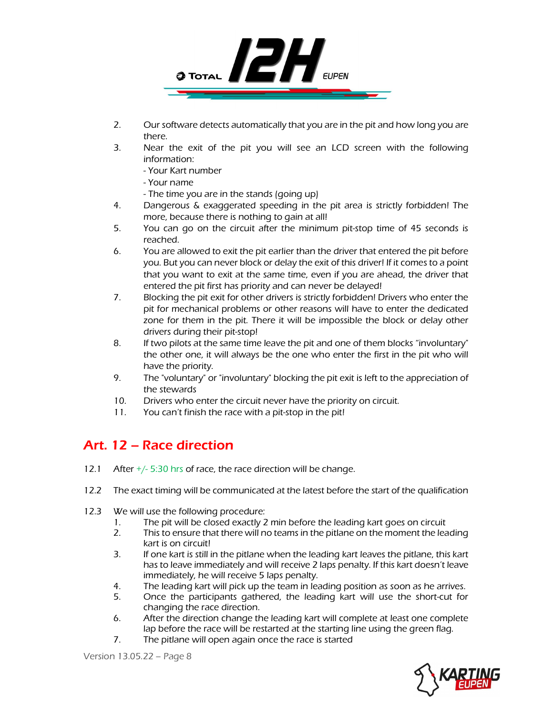

- 2. Our software detects automatically that you are in the pit and how long you are there.
- 3. Near the exit of the pit you will see an LCD screen with the following information:
	- Your Kart number
	- Your name
	- The time you are in the stands (going up)
- 4. Dangerous & exaggerated speeding in the pit area is strictly forbidden! The more, because there is nothing to gain at all!
- 5. You can go on the circuit after the minimum pit-stop time of 45 seconds is reached.
- 6. You are allowed to exit the pit earlier than the driver that entered the pit before you. But you can never block or delay the exit of this driver! If it comes to a point that you want to exit at the same time, even if you are ahead, the driver that entered the pit first has priority and can never be delayed!
- 7. Blocking the pit exit for other drivers is strictly forbidden! Drivers who enter the pit for mechanical problems or other reasons will have to enter the dedicated zone for them in the pit. There it will be impossible the block or delay other drivers during their pit-stop!
- 8. If two pilots at the same time leave the pit and one of them blocks "involuntary" the other one, it will always be the one who enter the first in the pit who will have the priority.
- 9. The "voluntary" or "involuntary" blocking the pit exit is left to the appreciation of the stewards
- 10. Drivers who enter the circuit never have the priority on circuit.
- 11. You can't finish the race with a pit-stop in the pit!

# Art. 12 – Race direction

- 12.1 After  $\pm$ /- 5:30 hrs of race, the race direction will be change.
- 12.2 The exact timing will be communicated at the latest before the start of the qualification
- 12.3 We will use the following procedure:
	- 1. The pit will be closed exactly 2 min before the leading kart goes on circuit
	- 2. This to ensure that there will no teams in the pitlane on the moment the leading kart is on circuit!
	- 3. If one kart is still in the pitlane when the leading kart leaves the pitlane, this kart has to leave immediately and will receive 2 laps penalty. If this kart doesn't leave immediately, he will receive 5 laps penalty.
	- 4. The leading kart will pick up the team in leading position as soon as he arrives.
	- 5. Once the participants gathered, the leading kart will use the short-cut for changing the race direction.
	- 6. After the direction change the leading kart will complete at least one complete lap before the race will be restarted at the starting line using the green flag.
	- 7. The pitlane will open again once the race is started

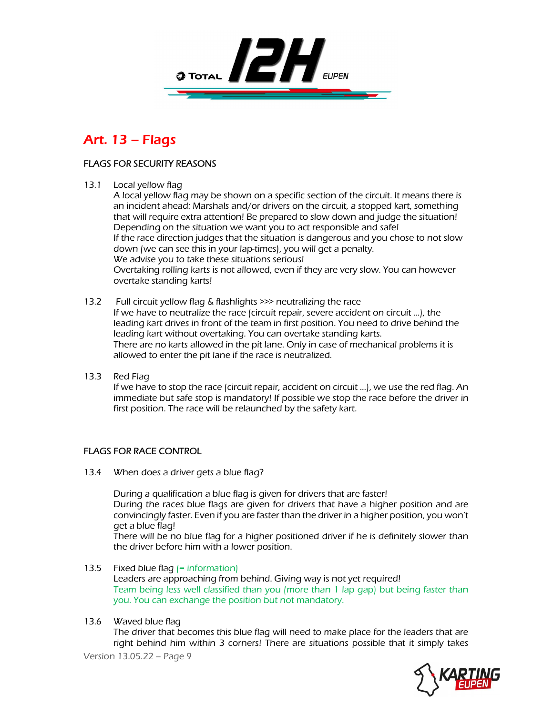

### Art. 13 – Flags

#### FLAGS FOR SECURITY REASONS

13.1 Local yellow flag

A local yellow flag may be shown on a specific section of the circuit. It means there is an incident ahead: Marshals and/or drivers on the circuit, a stopped kart, something that will require extra attention! Be prepared to slow down and judge the situation! Depending on the situation we want you to act responsible and safe! If the race direction judges that the situation is dangerous and you chose to not slow down (we can see this in your lap-times), you will get a penalty. We advise you to take these situations serious! Overtaking rolling karts is not allowed, even if they are very slow. You can however overtake standing karts!

- 13.2 Full circuit yellow flag & flashlights >>> neutralizing the race If we have to neutralize the race (circuit repair, severe accident on circuit ...), the leading kart drives in front of the team in first position. You need to drive behind the leading kart without overtaking. You can overtake standing karts. There are no karts allowed in the pit lane. Only in case of mechanical problems it is allowed to enter the pit lane if the race is neutralized.
- 13.3 Red Flag

If we have to stop the race (circuit repair, accident on circuit ...), we use the red flag. An immediate but safe stop is mandatory! If possible we stop the race before the driver in first position. The race will be relaunched by the safety kart.

#### FLAGS FOR RACE CONTROL

13.4 When does a driver gets a blue flag?

During a qualification a blue flag is given for drivers that are faster! During the races blue flags are given for drivers that have a higher position and are convincingly faster. Even if you are faster than the driver in a higher position, you won't get a blue flag!

There will be no blue flag for a higher positioned driver if he is definitely slower than the driver before him with a lower position.

- 13.5 Fixed blue flag  $=$  information Leaders are approaching from behind. Giving way is not yet required! Team being less well classified than you (more than 1 lap gap) but being faster than you. You can exchange the position but not mandatory.
- 13.6 Waved blue flag

The driver that becomes this blue flag will need to make place for the leaders that are right behind him within 3 corners! There are situations possible that it simply takes

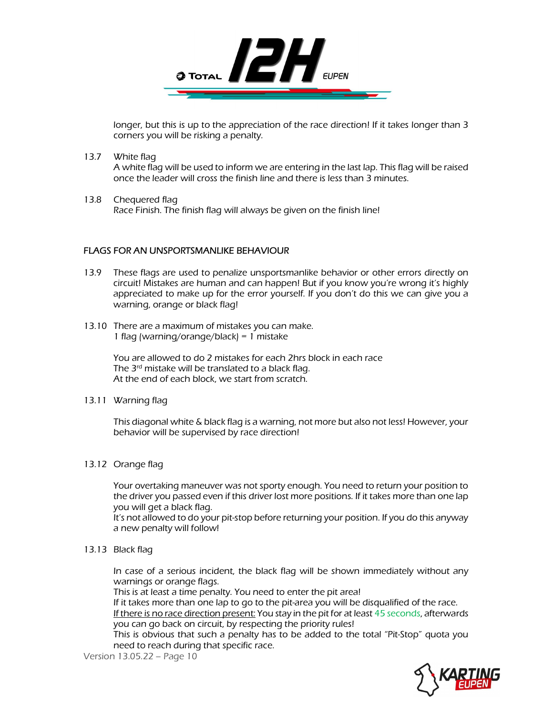

longer, but this is up to the appreciation of the race direction! If it takes longer than 3 corners you will be risking a penalty.

13.7 White flag

A white flag will be used to inform we are entering in the last lap. This flag will be raised once the leader will cross the finish line and there is less than 3 minutes.

13.8 Chequered flag Race Finish. The finish flag will always be given on the finish line!

#### FLAGS FOR AN UNSPORTSMANLIKE BEHAVIOUR

- 13.9 These flags are used to penalize unsportsmanlike behavior or other errors directly on circuit! Mistakes are human and can happen! But if you know you're wrong it's highly appreciated to make up for the error yourself. If you don't do this we can give you a warning, orange or black flag!
- 13.10 There are a maximum of mistakes you can make. 1 flag (warning/orange/black) = 1 mistake

You are allowed to do 2 mistakes for each 2hrs block in each race The 3<sup>rd</sup> mistake will be translated to a black flag. At the end of each block, we start from scratch.

13.11 Warning flag

This diagonal white & black flag is a warning, not more but also not less! However, your behavior will be supervised by race direction!

#### 13.12 Orange flag

Your overtaking maneuver was not sporty enough. You need to return your position to the driver you passed even if this driver lost more positions. If it takes more than one lap you will get a black flag.

It's not allowed to do your pit-stop before returning your position. If you do this anyway a new penalty will follow!

#### 13.13 Black flag

In case of a serious incident, the black flag will be shown immediately without any warnings or orange flags.

This is at least a time penalty. You need to enter the pit area!

If it takes more than one lap to go to the pit-area you will be disqualified of the race.

If there is no race direction present: You stay in the pit for at least 45 seconds, afterwards you can go back on circuit, by respecting the priority rules!

This is obvious that such a penalty has to be added to the total "Pit-Stop" quota you need to reach during that specific race.

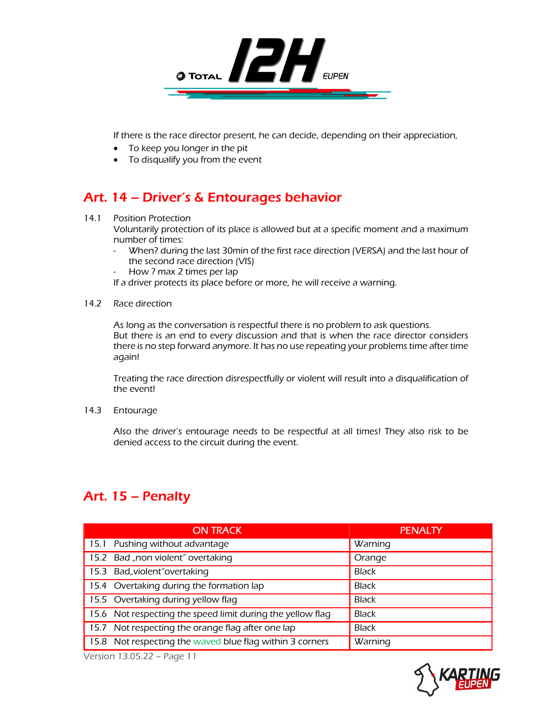

If there is the race director present, he can decide, depending on their appreciation,

- To keep you longer in the pit
- To disqualify you from the event

## Art. 14 – Driver's & Entourages behavior

#### 14.1 Position Protection

Voluntarily protection of its place is allowed but at a specific moment and a maximum number of times:

- When? during the last 30min of the first race direction (VERSA) and the last hour of the second race direction (VIS)
- How ? max 2 times per lap

If a driver protects its place before or more, he will receive a warning.

14.2 Race direction

As long as the conversation is respectful there is no problem to ask questions. But there is an end to every discussion and that is when the race director considers there is no step forward anymore. It has no use repeating your problems time after time again!

Treating the race direction disrespectfully or violent will result into a disqualification of the event!

14.3 Entourage

Also the driver's entourage needs to be respectful at all times! They also risk to be denied access to the circuit during the event.

### Art. 15 – Penalty

| <b>ON TRACK</b>                                            | <b>PENALTY</b> |
|------------------------------------------------------------|----------------|
| 15.1 Pushing without advantage                             | Warning        |
| 15.2 Bad "non violent" overtaking                          | Orange         |
| 15.3 Bad, violent "overtaking                              | <b>Black</b>   |
| 15.4 Overtaking during the formation lap                   | <b>Black</b>   |
| 15.5 Overtaking during yellow flag                         | <b>Black</b>   |
| 15.6 Not respecting the speed limit during the yellow flag | <b>Black</b>   |
| 15.7 Not respecting the orange flag after one lap          | <b>Black</b>   |
| 15.8 Not respecting the waved blue flag within 3 corners   | Warning        |

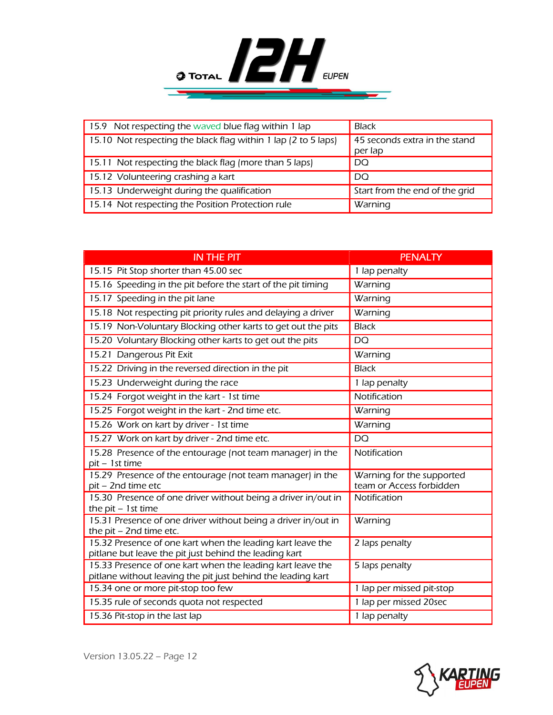

| 15.9 Not respecting the waved blue flag within 1 lap           | <b>Black</b>                             |
|----------------------------------------------------------------|------------------------------------------|
| 15.10 Not respecting the black flag within 1 lap (2 to 5 laps) | 45 seconds extra in the stand<br>per lap |
| 15.11 Not respecting the black flag (more than 5 laps)         | <b>DO</b>                                |
| 15.12 Volunteering crashing a kart                             | <b>DO</b>                                |
| 15.13 Underweight during the qualification                     | Start from the end of the grid           |
| 15.14 Not respecting the Position Protection rule              | Warning                                  |

| <b>IN THE PIT</b>                                                                                                          | <b>PENALTY</b>                                        |
|----------------------------------------------------------------------------------------------------------------------------|-------------------------------------------------------|
| 15.15 Pit Stop shorter than 45.00 sec                                                                                      | 1 lap penalty                                         |
| 15.16 Speeding in the pit before the start of the pit timing                                                               | Warning                                               |
| 15.17 Speeding in the pit lane                                                                                             | Warning                                               |
| 15.18 Not respecting pit priority rules and delaying a driver                                                              | Warning                                               |
| 15.19 Non-Voluntary Blocking other karts to get out the pits                                                               | <b>Black</b>                                          |
| 15.20 Voluntary Blocking other karts to get out the pits                                                                   | <b>DQ</b>                                             |
| 15.21 Dangerous Pit Exit                                                                                                   | Warning                                               |
| 15.22 Driving in the reversed direction in the pit                                                                         | <b>Black</b>                                          |
| 15.23 Underweight during the race                                                                                          | 1 lap penalty                                         |
| 15.24 Forgot weight in the kart - 1st time                                                                                 | Notification                                          |
| 15.25 Forgot weight in the kart - 2nd time etc.                                                                            | Warning                                               |
| 15.26 Work on kart by driver - 1st time                                                                                    | Warning                                               |
| 15.27 Work on kart by driver - 2nd time etc.                                                                               | <b>DQ</b>                                             |
| 15.28 Presence of the entourage (not team manager) in the<br>pit - 1st time                                                | Notification                                          |
| 15.29 Presence of the entourage (not team manager) in the<br>pit - 2nd time etc                                            | Warning for the supported<br>team or Access forbidden |
| 15.30 Presence of one driver without being a driver in/out in<br>the $pit - 1st$ time                                      | Notification                                          |
| 15.31 Presence of one driver without being a driver in/out in<br>the pit $-$ 2nd time etc.                                 | Warning                                               |
| 15.32 Presence of one kart when the leading kart leave the<br>pitlane but leave the pit just behind the leading kart       | 2 laps penalty                                        |
| 15.33 Presence of one kart when the leading kart leave the<br>pitlane without leaving the pit just behind the leading kart | 5 laps penalty                                        |
| 15.34 one or more pit-stop too few                                                                                         | 1 lap per missed pit-stop                             |
| 15.35 rule of seconds quota not respected                                                                                  | 1 lap per missed 20sec                                |
| 15.36 Pit-stop in the last lap                                                                                             | 1 lap penalty                                         |